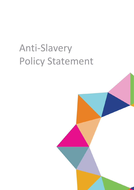## Anti-Slavery Policy Statement